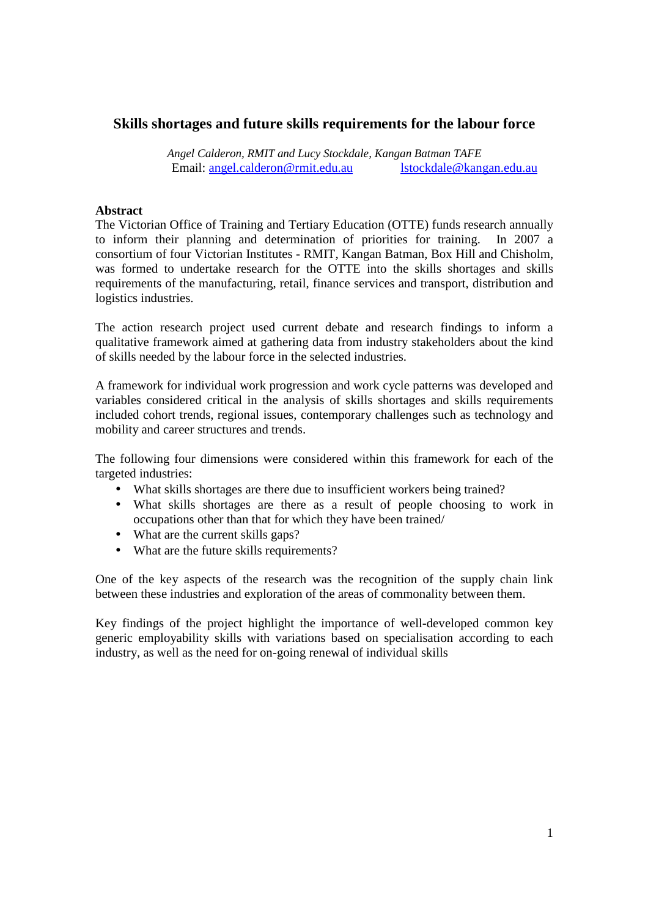# **Skills shortages and future skills requirements for the labour force**

*Angel Calderon, RMIT and Lucy Stockdale, Kangan Batman TAFE*  Email: angel.calderon@rmit.edu.au lstockdale@kangan.edu.au

## **Abstract**

The Victorian Office of Training and Tertiary Education (OTTE) funds research annually to inform their planning and determination of priorities for training. In 2007 a consortium of four Victorian Institutes - RMIT, Kangan Batman, Box Hill and Chisholm, was formed to undertake research for the OTTE into the skills shortages and skills requirements of the manufacturing, retail, finance services and transport, distribution and logistics industries.

The action research project used current debate and research findings to inform a qualitative framework aimed at gathering data from industry stakeholders about the kind of skills needed by the labour force in the selected industries.

A framework for individual work progression and work cycle patterns was developed and variables considered critical in the analysis of skills shortages and skills requirements included cohort trends, regional issues, contemporary challenges such as technology and mobility and career structures and trends.

The following four dimensions were considered within this framework for each of the targeted industries:

- What skills shortages are there due to insufficient workers being trained?
- What skills shortages are there as a result of people choosing to work in occupations other than that for which they have been trained/
- What are the current skills gaps?
- What are the future skills requirements?

One of the key aspects of the research was the recognition of the supply chain link between these industries and exploration of the areas of commonality between them.

Key findings of the project highlight the importance of well-developed common key generic employability skills with variations based on specialisation according to each industry, as well as the need for on-going renewal of individual skills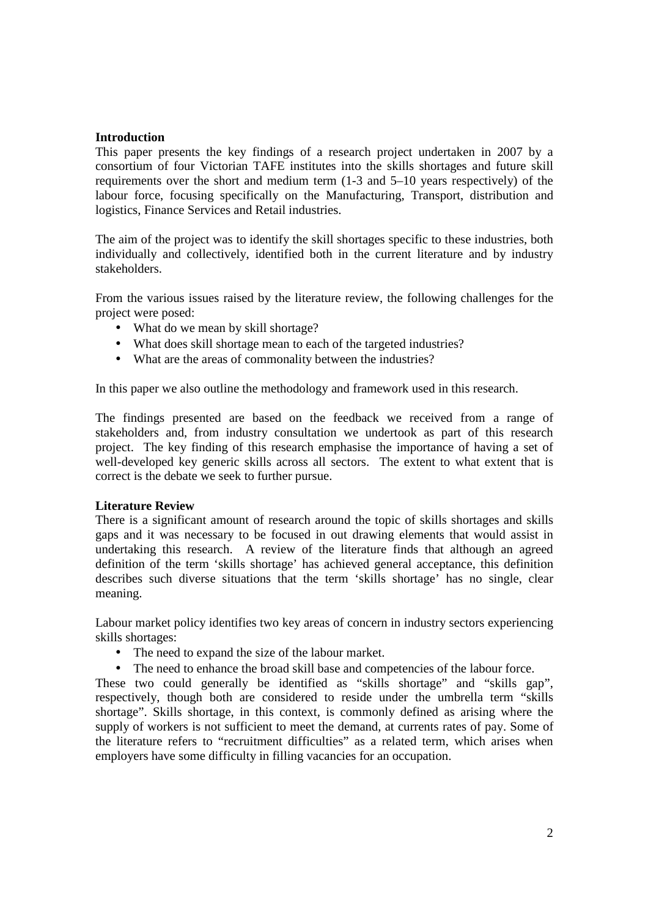## **Introduction**

This paper presents the key findings of a research project undertaken in 2007 by a consortium of four Victorian TAFE institutes into the skills shortages and future skill requirements over the short and medium term (1-3 and 5–10 years respectively) of the labour force, focusing specifically on the Manufacturing, Transport, distribution and logistics, Finance Services and Retail industries.

The aim of the project was to identify the skill shortages specific to these industries, both individually and collectively, identified both in the current literature and by industry stakeholders.

From the various issues raised by the literature review, the following challenges for the project were posed:

- What do we mean by skill shortage?
- What does skill shortage mean to each of the targeted industries?
- What are the areas of commonality between the industries?

In this paper we also outline the methodology and framework used in this research.

The findings presented are based on the feedback we received from a range of stakeholders and, from industry consultation we undertook as part of this research project. The key finding of this research emphasise the importance of having a set of well-developed key generic skills across all sectors. The extent to what extent that is correct is the debate we seek to further pursue.

### **Literature Review**

There is a significant amount of research around the topic of skills shortages and skills gaps and it was necessary to be focused in out drawing elements that would assist in undertaking this research. A review of the literature finds that although an agreed definition of the term 'skills shortage' has achieved general acceptance, this definition describes such diverse situations that the term 'skills shortage' has no single, clear meaning.

Labour market policy identifies two key areas of concern in industry sectors experiencing skills shortages:

- The need to expand the size of the labour market.
- The need to enhance the broad skill base and competencies of the labour force.

These two could generally be identified as "skills shortage" and "skills gap", respectively, though both are considered to reside under the umbrella term "skills shortage". Skills shortage, in this context, is commonly defined as arising where the supply of workers is not sufficient to meet the demand, at currents rates of pay. Some of the literature refers to "recruitment difficulties" as a related term, which arises when employers have some difficulty in filling vacancies for an occupation.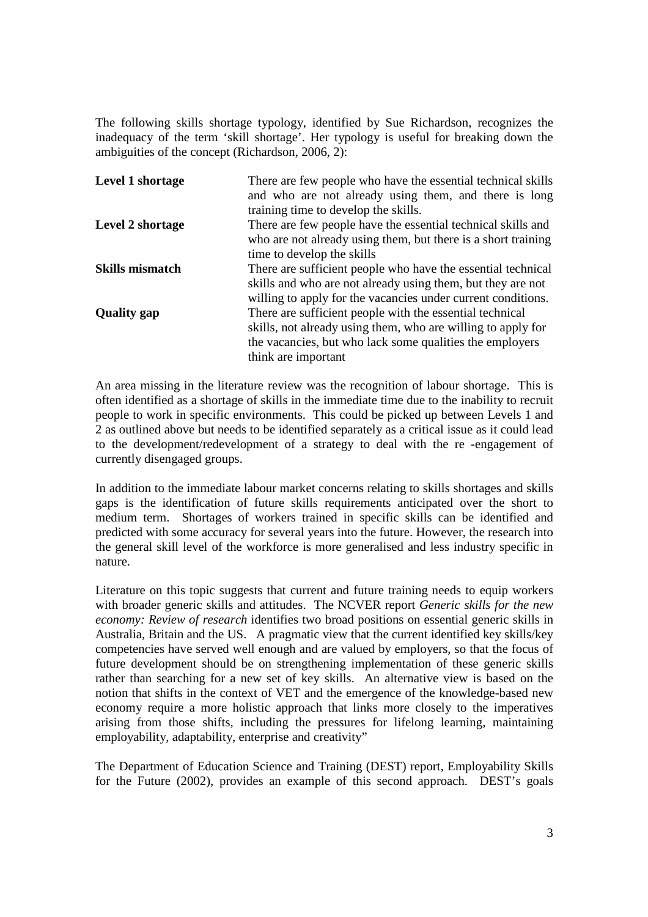The following skills shortage typology, identified by Sue Richardson, recognizes the inadequacy of the term 'skill shortage'. Her typology is useful for breaking down the ambiguities of the concept (Richardson, 2006, 2):

| Level 1 shortage       | There are few people who have the essential technical skills<br>and who are not already using them, and there is long       |
|------------------------|-----------------------------------------------------------------------------------------------------------------------------|
|                        | training time to develop the skills.                                                                                        |
| Level 2 shortage       | There are few people have the essential technical skills and                                                                |
|                        | who are not already using them, but there is a short training                                                               |
|                        | time to develop the skills                                                                                                  |
| <b>Skills mismatch</b> | There are sufficient people who have the essential technical                                                                |
|                        | skills and who are not already using them, but they are not<br>willing to apply for the vacancies under current conditions. |
| <b>Quality gap</b>     | There are sufficient people with the essential technical                                                                    |
|                        | skills, not already using them, who are willing to apply for                                                                |
|                        | the vacancies, but who lack some qualities the employers                                                                    |
|                        | think are important                                                                                                         |

An area missing in the literature review was the recognition of labour shortage. This is often identified as a shortage of skills in the immediate time due to the inability to recruit people to work in specific environments. This could be picked up between Levels 1 and 2 as outlined above but needs to be identified separately as a critical issue as it could lead to the development/redevelopment of a strategy to deal with the re -engagement of currently disengaged groups.

In addition to the immediate labour market concerns relating to skills shortages and skills gaps is the identification of future skills requirements anticipated over the short to medium term. Shortages of workers trained in specific skills can be identified and predicted with some accuracy for several years into the future. However, the research into the general skill level of the workforce is more generalised and less industry specific in nature.

Literature on this topic suggests that current and future training needs to equip workers with broader generic skills and attitudes. The NCVER report *Generic skills for the new economy: Review of research* identifies two broad positions on essential generic skills in Australia, Britain and the US. A pragmatic view that the current identified key skills/key competencies have served well enough and are valued by employers, so that the focus of future development should be on strengthening implementation of these generic skills rather than searching for a new set of key skills. An alternative view is based on the notion that shifts in the context of VET and the emergence of the knowledge-based new economy require a more holistic approach that links more closely to the imperatives arising from those shifts, including the pressures for lifelong learning, maintaining employability, adaptability, enterprise and creativity"

The Department of Education Science and Training (DEST) report, Employability Skills for the Future (2002), provides an example of this second approach. DEST's goals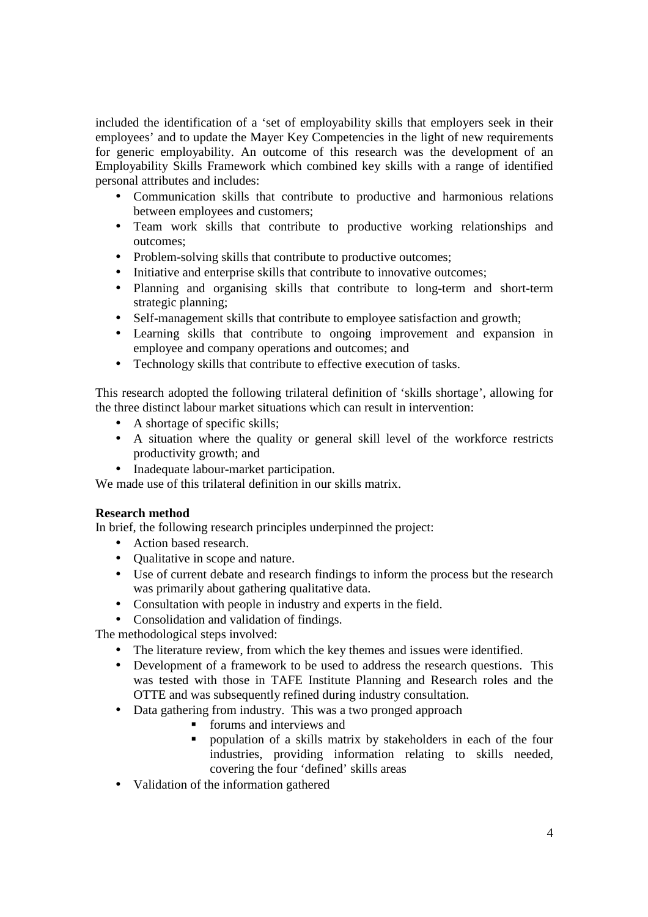included the identification of a 'set of employability skills that employers seek in their employees' and to update the Mayer Key Competencies in the light of new requirements for generic employability. An outcome of this research was the development of an Employability Skills Framework which combined key skills with a range of identified personal attributes and includes:

- Communication skills that contribute to productive and harmonious relations between employees and customers;
- Team work skills that contribute to productive working relationships and outcomes;
- Problem-solving skills that contribute to productive outcomes;
- Initiative and enterprise skills that contribute to innovative outcomes;
- Planning and organising skills that contribute to long-term and short-term strategic planning;
- Self-management skills that contribute to employee satisfaction and growth;
- Learning skills that contribute to ongoing improvement and expansion in employee and company operations and outcomes; and
- Technology skills that contribute to effective execution of tasks.

This research adopted the following trilateral definition of 'skills shortage', allowing for the three distinct labour market situations which can result in intervention:

- A shortage of specific skills;
- A situation where the quality or general skill level of the workforce restricts productivity growth; and
- Inadequate labour-market participation.

We made use of this trilateral definition in our skills matrix.

## **Research method**

In brief, the following research principles underpinned the project:

- Action based research.
- Oualitative in scope and nature.
- Use of current debate and research findings to inform the process but the research was primarily about gathering qualitative data.
- Consultation with people in industry and experts in the field.
- Consolidation and validation of findings.

The methodological steps involved:

- The literature review, from which the key themes and issues were identified.
- Development of a framework to be used to address the research questions. This was tested with those in TAFE Institute Planning and Research roles and the OTTE and was subsequently refined during industry consultation.
- Data gathering from industry. This was a two pronged approach
	- **forums** and interviews and
	- **P** population of a skills matrix by stakeholders in each of the four industries, providing information relating to skills needed, covering the four 'defined' skills areas
- Validation of the information gathered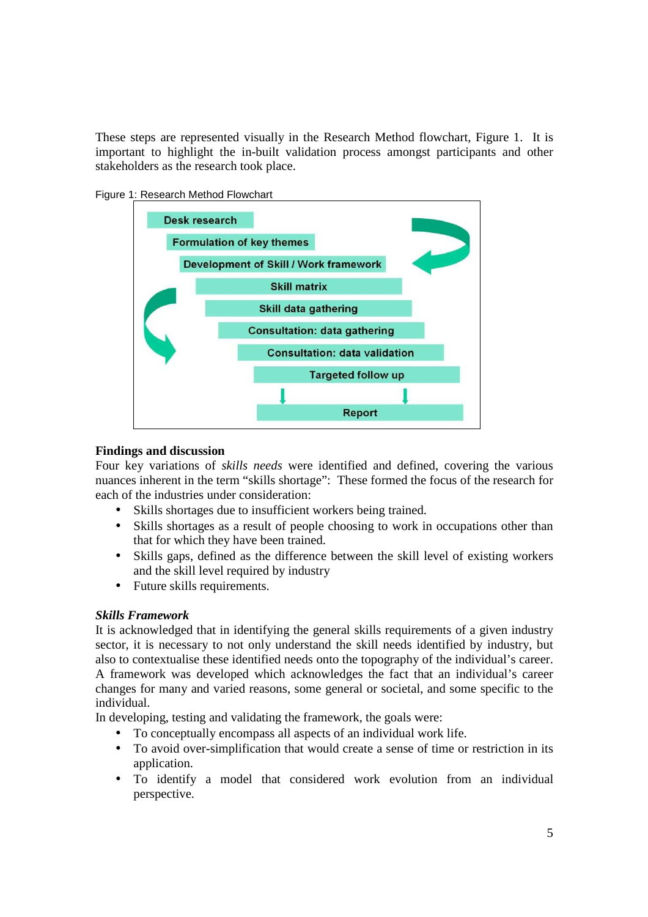These steps are represented visually in the Research Method flowchart, Figure 1. It is important to highlight the in-built validation process amongst participants and other stakeholders as the research took place.





### **Findings and discussion**

Four key variations of *skills needs* were identified and defined, covering the various nuances inherent in the term "skills shortage": These formed the focus of the research for each of the industries under consideration:

- Skills shortages due to insufficient workers being trained.
- Skills shortages as a result of people choosing to work in occupations other than that for which they have been trained.
- Skills gaps, defined as the difference between the skill level of existing workers and the skill level required by industry
- Future skills requirements.

## *Skills Framework*

It is acknowledged that in identifying the general skills requirements of a given industry sector, it is necessary to not only understand the skill needs identified by industry, but also to contextualise these identified needs onto the topography of the individual's career. A framework was developed which acknowledges the fact that an individual's career changes for many and varied reasons, some general or societal, and some specific to the individual.

In developing, testing and validating the framework, the goals were:

- To conceptually encompass all aspects of an individual work life.
- To avoid over-simplification that would create a sense of time or restriction in its application.
- To identify a model that considered work evolution from an individual perspective.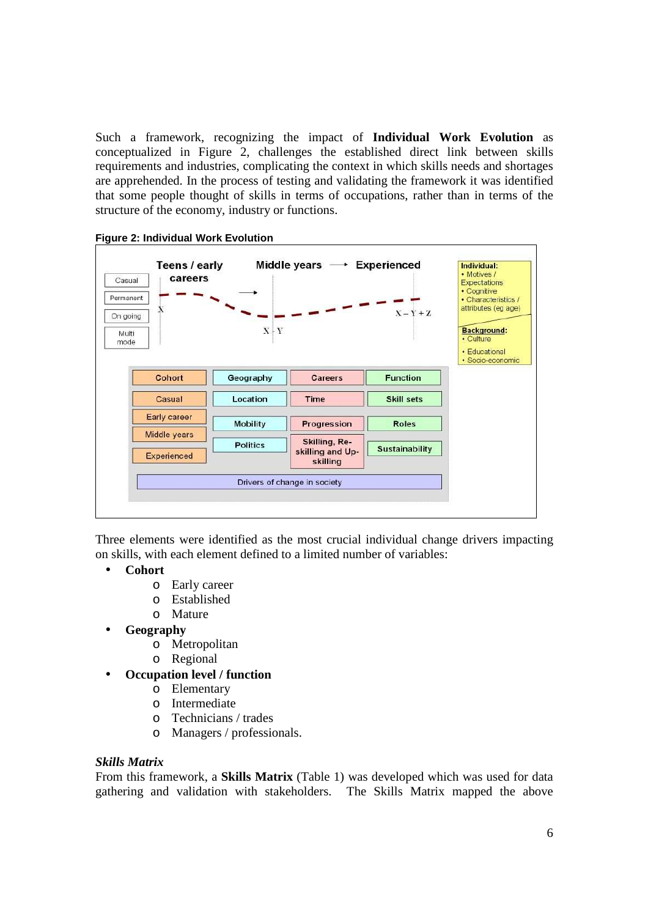Such a framework, recognizing the impact of **Individual Work Evolution** as conceptualized in Figure 2, challenges the established direct link between skills requirements and industries, complicating the context in which skills needs and shortages are apprehended. In the process of testing and validating the framework it was identified that some people thought of skills in terms of occupations, rather than in terms of the structure of the economy, industry or functions.



**Figure 2: Individual Work Evolution** 

Three elements were identified as the most crucial individual change drivers impacting on skills, with each element defined to a limited number of variables:

- **Cohort** 
	- o Early career
	- o Established
	- o Mature
- **Geography** 
	- o Metropolitan
	- o Regional
- **Occupation level / function** 
	- o Elementary
	- o Intermediate
	- o Technicians / trades
	- o Managers / professionals.

#### *Skills Matrix*

From this framework, a **Skills Matrix** (Table 1) was developed which was used for data gathering and validation with stakeholders. The Skills Matrix mapped the above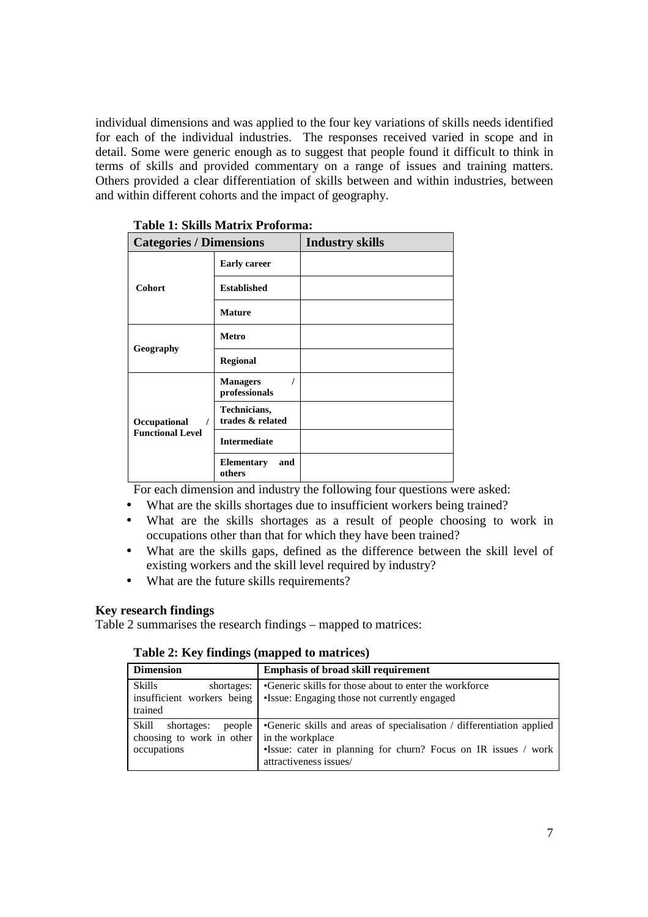individual dimensions and was applied to the four key variations of skills needs identified for each of the individual industries. The responses received varied in scope and in detail. Some were generic enough as to suggest that people found it difficult to think in terms of skills and provided commentary on a range of issues and training matters. Others provided a clear differentiation of skills between and within industries, between and within different cohorts and the impact of geography.

| <b>Categories / Dimensions</b> |                                    | <b>Industry skills</b> |
|--------------------------------|------------------------------------|------------------------|
| <b>Cohort</b>                  | <b>Early career</b>                |                        |
|                                | <b>Established</b>                 |                        |
|                                | <b>Mature</b>                      |                        |
| Geography                      | <b>Metro</b>                       |                        |
|                                | <b>Regional</b>                    |                        |
|                                | <b>Managers</b><br>professionals   |                        |
| Occupational<br>$\prime$       | Technicians,<br>trades & related   |                        |
| <b>Functional Level</b>        | <b>Intermediate</b>                |                        |
|                                | <b>Elementary</b><br>and<br>others |                        |

 **Table 1: Skills Matrix Proforma:** 

For each dimension and industry the following four questions were asked:

- What are the skills shortages due to insufficient workers being trained?
- What are the skills shortages as a result of people choosing to work in occupations other than that for which they have been trained?
- What are the skills gaps, defined as the difference between the skill level of existing workers and the skill level required by industry?
- What are the future skills requirements?

### **Key research findings**

Table 2 summarises the research findings – mapped to matrices:

|  |  | Table 2: Key findings (mapped to matrices) |
|--|--|--------------------------------------------|
|--|--|--------------------------------------------|

| <b>Dimension</b>                                                                             | <b>Emphasis of broad skill requirement</b>                                                                                                                        |
|----------------------------------------------------------------------------------------------|-------------------------------------------------------------------------------------------------------------------------------------------------------------------|
| Skills<br>shortages:<br>insufficient workers being<br>trained                                | •Generic skills for those about to enter the workforce<br>•Issue: Engaging those not currently engaged                                                            |
| Skill<br>people  <br>shortages:<br>choosing to work in other in the workplace<br>occupations | •Generic skills and areas of specialisation / differentiation applied<br>•Issue: cater in planning for churn? Focus on IR issues / work<br>attractiveness issues/ |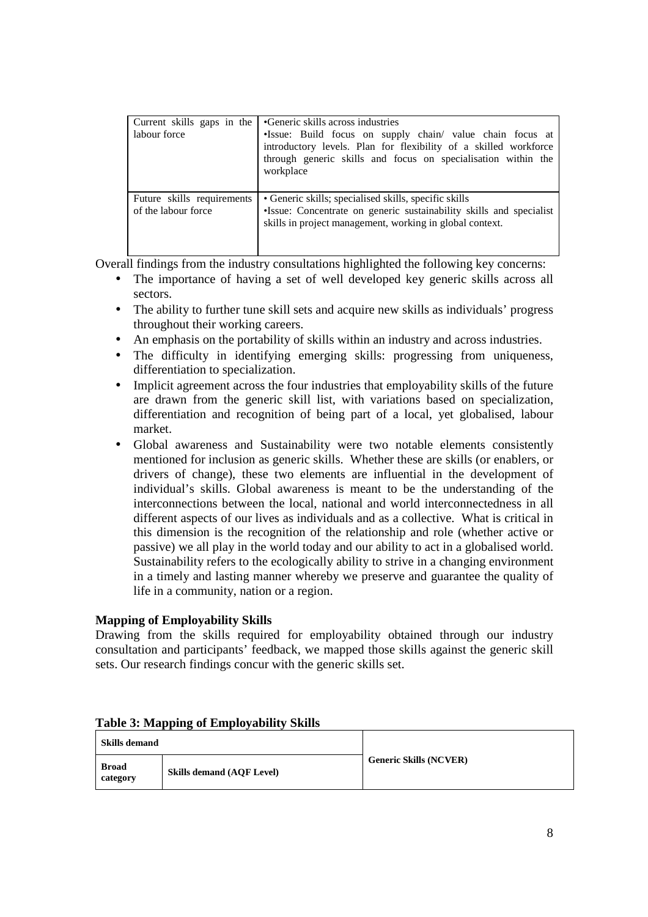| labour force                                      | Current skills gaps in the <b>G</b> eneric skills across industries<br>·Issue: Build focus on supply chain/ value chain focus at<br>introductory levels. Plan for flexibility of a skilled workforce<br>through generic skills and focus on specialisation within the<br>workplace |
|---------------------------------------------------|------------------------------------------------------------------------------------------------------------------------------------------------------------------------------------------------------------------------------------------------------------------------------------|
| Future skills requirements<br>of the labour force | • Generic skills; specialised skills, specific skills<br>·Issue: Concentrate on generic sustainability skills and specialist<br>skills in project management, working in global context.                                                                                           |

Overall findings from the industry consultations highlighted the following key concerns:

- The importance of having a set of well developed key generic skills across all sectors.
- The ability to further tune skill sets and acquire new skills as individuals' progress throughout their working careers.
- An emphasis on the portability of skills within an industry and across industries.
- The difficulty in identifying emerging skills: progressing from uniqueness, differentiation to specialization.
- Implicit agreement across the four industries that employability skills of the future are drawn from the generic skill list, with variations based on specialization, differentiation and recognition of being part of a local, yet globalised, labour market.
- Global awareness and Sustainability were two notable elements consistently mentioned for inclusion as generic skills. Whether these are skills (or enablers, or drivers of change), these two elements are influential in the development of individual's skills. Global awareness is meant to be the understanding of the interconnections between the local, national and world interconnectedness in all different aspects of our lives as individuals and as a collective. What is critical in this dimension is the recognition of the relationship and role (whether active or passive) we all play in the world today and our ability to act in a globalised world. Sustainability refers to the ecologically ability to strive in a changing environment in a timely and lasting manner whereby we preserve and guarantee the quality of life in a community, nation or a region.

# **Mapping of Employability Skills**

Drawing from the skills required for employability obtained through our industry consultation and participants' feedback, we mapped those skills against the generic skill sets. Our research findings concur with the generic skills set.

| --------<br>--------     |                                  |                               |
|--------------------------|----------------------------------|-------------------------------|
| <b>Skills demand</b>     |                                  |                               |
| <b>Broad</b><br>category | <b>Skills demand (AOF Level)</b> | <b>Generic Skills (NCVER)</b> |

# **Table 3: Mapping of Employability Skills**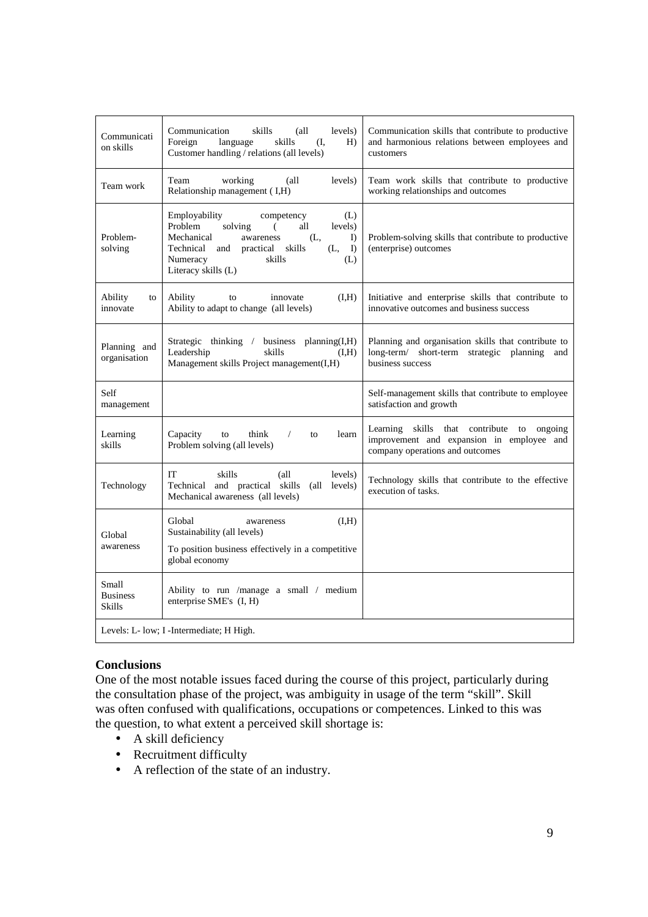| Communicati<br>on skills                  | Communication<br>skills<br>(all<br>levels)<br>Foreign<br>skills<br>language<br>(I,<br>H)<br>Customer handling / relations (all levels)                                                                                                                     | Communication skills that contribute to productive<br>and harmonious relations between employees and<br>customers                      |
|-------------------------------------------|------------------------------------------------------------------------------------------------------------------------------------------------------------------------------------------------------------------------------------------------------------|----------------------------------------------------------------------------------------------------------------------------------------|
| Team work                                 | Team<br>working<br>levels)<br>(all<br>Relationship management (I,H)                                                                                                                                                                                        | Team work skills that contribute to productive<br>working relationships and outcomes                                                   |
| Problem-<br>solving                       | <b>Employability</b><br>(L)<br>competency<br>Problem<br>solving<br>all<br>levels)<br>€<br>Mechanical<br>(L,<br>awareness<br>$\Gamma$<br>Technical<br>skills<br>and<br>practical<br>(L,<br>$\mathbf{D}$<br>Numeracy<br>skills<br>(L)<br>Literacy skills (L) | Problem-solving skills that contribute to productive<br>(enterprise) outcomes                                                          |
| Ability<br>to<br>innovate                 | Ability<br>(I,H)<br>innovate<br>to<br>Ability to adapt to change (all levels)                                                                                                                                                                              | Initiative and enterprise skills that contribute to<br>innovative outcomes and business success                                        |
| Planning and<br>organisation              | business planning(I,H)<br>Strategic thinking /<br>Leadership<br>skills<br>(H, H)<br>Management skills Project management(I,H)                                                                                                                              | Planning and organisation skills that contribute to<br>$long-term/$<br>short-term strategic planning<br>and<br>business success        |
| Self<br>management                        |                                                                                                                                                                                                                                                            | Self-management skills that contribute to employee<br>satisfaction and growth                                                          |
| Learning<br>skills                        | Capacity<br>think<br>learn<br>to<br>$\sqrt{2}$<br>to<br>Problem solving (all levels)                                                                                                                                                                       | Learning<br>skills<br>that contribute<br>to<br>ongoing<br>improvement and expansion in employee and<br>company operations and outcomes |
| Technology                                | IT<br>skills<br>$\alpha$ ll<br>levels)<br>Technical and practical skills<br>(all<br>levels)<br>Mechanical awareness (all levels)                                                                                                                           | Technology skills that contribute to the effective<br>execution of tasks.                                                              |
| Global<br>awareness                       | (I,H)<br>Global<br>awareness<br>Sustainability (all levels)                                                                                                                                                                                                |                                                                                                                                        |
|                                           | To position business effectively in a competitive<br>global economy                                                                                                                                                                                        |                                                                                                                                        |
| Small<br><b>Business</b><br><b>Skills</b> | Ability to run /manage a small / medium<br>enterprise SME's (I, H)                                                                                                                                                                                         |                                                                                                                                        |
|                                           | Levels: L- low; I -Intermediate; H High.                                                                                                                                                                                                                   |                                                                                                                                        |

# **Conclusions**

One of the most notable issues faced during the course of this project, particularly during the consultation phase of the project, was ambiguity in usage of the term "skill". Skill was often confused with qualifications, occupations or competences. Linked to this was the question, to what extent a perceived skill shortage is:

- $\bullet$  A skill deficiency
- Recruitment difficulty
- A reflection of the state of an industry.